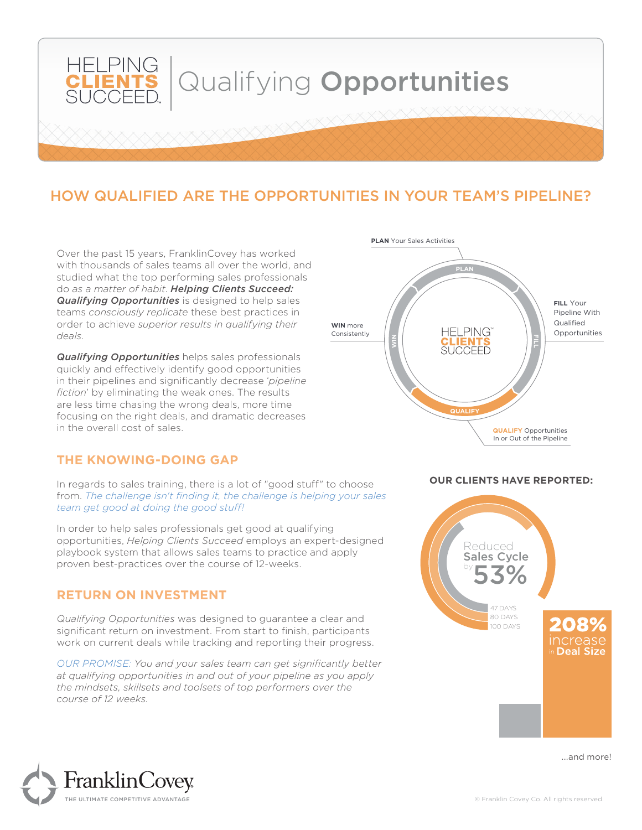

# HOW QUALIFIED ARE THE OPPORTUNITIES IN YOUR TEAM'S PIPELINE?

Over the past 15 years, FranklinCovey has worked with thousands of sales teams all over the world, and studied what the top performing sales professionals do *as a matter of habit*. *Helping Clients Succeed: Qualifying Opportunities* is designed to help sales teams *consciously replicate* these best practices in order to achieve *superior results in qualifying their deals.*

*Qualifying Opportunities* helps sales professionals quickly and effectively identify good opportunities in their pipelines and significantly decrease '*pipeline fiction*' by eliminating the weak ones. The results are less time chasing the wrong deals, more time focusing on the right deals, and dramatic decreases in the overall cost of sales.

### **THE KNOWING-DOING GAP**

In regards to sales training, there is a lot of "good stuff" to choose from. *The challenge isn't finding it, the challenge is helping your sales team get good at doing the good stuff!* 

In order to help sales professionals get good at qualifying opportunities, *Helping Clients Succeed* employs an expert-designed playbook system that allows sales teams to practice and apply proven best-practices over the course of 12-weeks.

#### **RETURN ON INVESTMENT**

*Qualifying Opportunities* was designed to guarantee a clear and significant return on investment. From start to finish, participants work on current deals while tracking and reporting their progress.

*OUR PROMISE: You and your sales team can get significantly better at qualifying opportunities in and out of your pipeline as you apply the mindsets, skillsets and toolsets of top performers over the course of 12 weeks.*



#### **OUR CLIENTS HAVE REPORTED:**



...and more!